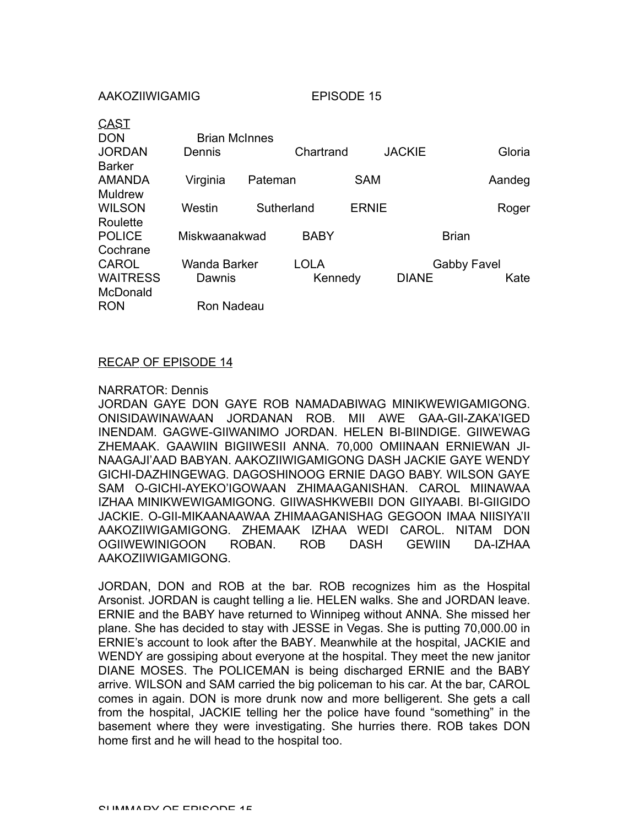| Dennis        |  |                                    |                       | <b>JACKIE</b> |                            | Gloria |
|---------------|--|------------------------------------|-----------------------|---------------|----------------------------|--------|
|               |  |                                    |                       |               |                            |        |
| Virginia      |  |                                    |                       |               | Aandeg                     |        |
|               |  |                                    |                       |               |                            |        |
| Westin        |  |                                    |                       |               |                            | Roger  |
|               |  |                                    |                       |               |                            |        |
| Miskwaanakwad |  | <b>BABY</b>                        |                       |               | <b>Brian</b>               |        |
|               |  |                                    |                       |               |                            |        |
| Wanda Barker  |  | <b>LOLA</b>                        |                       |               | <b>Gabby Favel</b>         |        |
| Dawnis        |  | Kennedy                            |                       | <b>DIANE</b>  |                            | Kate   |
|               |  |                                    |                       |               |                            |        |
|               |  |                                    |                       |               |                            |        |
|               |  | <b>Brian McInnes</b><br>Ron Nadeau | Pateman<br>Sutherland | Chartrand     | <b>SAM</b><br><b>ERNIE</b> |        |

AAKOZIIWIGAMIG EPISODE 15

## RECAP OF EPISODE 14

## NARRATOR: Dennis

JORDAN GAYE DON GAYE ROB NAMADABIWAG MINIKWEWIGAMIGONG. ONISIDAWINAWAAN JORDANAN ROB. MII AWE GAA-GII-ZAKA'IGED INENDAM. GAGWE-GIIWANIMO JORDAN. HELEN BI-BIINDIGE. GIIWEWAG ZHEMAAK. GAAWIIN BIGIIWESII ANNA. 70,000 OMIINAAN ERNIEWAN JI-NAAGAJI'AAD BABYAN. AAKOZIIWIGAMIGONG DASH JACKIE GAYE WENDY GICHI-DAZHINGEWAG. DAGOSHINOOG ERNIE DAGO BABY. WILSON GAYE SAM O-GICHI-AYEKO'IGOWAAN ZHIMAAGANISHAN. CAROL MIINAWAA IZHAA MINIKWEWIGAMIGONG. GIIWASHKWEBII DON GIIYAABI. BI-GIIGIDO JACKIE. O-GII-MIKAANAAWAA ZHIMAAGANISHAG GEGOON IMAA NIISIYA'II AAKOZIIWIGAMIGONG. ZHEMAAK IZHAA WEDI CAROL. NITAM DON OGIIWEWINIGOON ROBAN. ROB DASH GEWIIN DA-IZHAA AAKOZIIWIGAMIGONG.

JORDAN, DON and ROB at the bar. ROB recognizes him as the Hospital Arsonist. JORDAN is caught telling a lie. HELEN walks. She and JORDAN leave. ERNIE and the BABY have returned to Winnipeg without ANNA. She missed her plane. She has decided to stay with JESSE in Vegas. She is putting 70,000.00 in ERNIE's account to look after the BABY. Meanwhile at the hospital, JACKIE and WENDY are gossiping about everyone at the hospital. They meet the new janitor DIANE MOSES. The POLICEMAN is being discharged ERNIE and the BABY arrive. WILSON and SAM carried the big policeman to his car. At the bar, CAROL comes in again. DON is more drunk now and more belligerent. She gets a call from the hospital, JACKIE telling her the police have found "something" in the basement where they were investigating. She hurries there. ROB takes DON home first and he will head to the hospital too.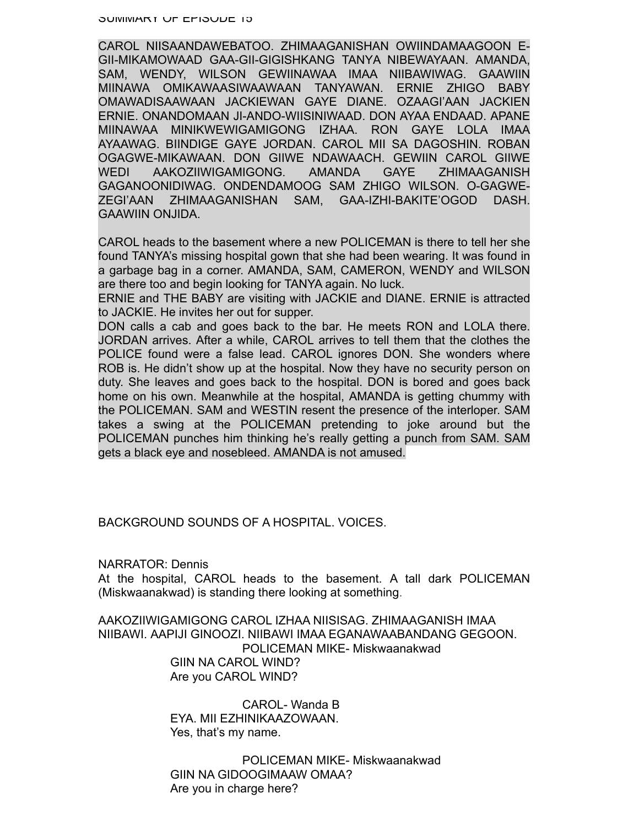CAROL NIISAANDAWEBATOO. ZHIMAAGANISHAN OWIINDAMAAGOON E-GII-MIKAMOWAAD GAA-GII-GIGISHKANG TANYA NIBEWAYAAN. AMANDA, SAM, WENDY, WILSON GEWIINAWAA IMAA NIIBAWIWAG. GAAWIIN MIINAWA OMIKAWAASIWAAWAAN TANYAWAN. ERNIE ZHIGO BABY OMAWADISAAWAAN JACKIEWAN GAYE DIANE. OZAAGI'AAN JACKIEN ERNIE. ONANDOMAAN JI-ANDO-WIISINIWAAD. DON AYAA ENDAAD. APANE MIINAWAA MINIKWEWIGAMIGONG IZHAA. RON GAYE LOLA IMAA AYAAWAG. BIINDIGE GAYE JORDAN. CAROL MII SA DAGOSHIN. ROBAN OGAGWE-MIKAWAAN. DON GIIWE NDAWAACH. GEWIIN CAROL GIIWE WEDI AAKOZIIWIGAMIGONG. AMANDA GAYE ZHIMAAGANISH GAGANOONIDIWAG. ONDENDAMOOG SAM ZHIGO WILSON. O-GAGWE-ZEGI'AAN ZHIMAAGANISHAN SAM, GAA-IZHI-BAKITE'OGOD DASH. GAAWIIN ONJIDA.

CAROL heads to the basement where a new POLICEMAN is there to tell her she found TANYA's missing hospital gown that she had been wearing. It was found in a garbage bag in a corner. AMANDA, SAM, CAMERON, WENDY and WILSON are there too and begin looking for TANYA again. No luck.

ERNIE and THE BABY are visiting with JACKIE and DIANE. ERNIE is attracted to JACKIE. He invites her out for supper.

DON calls a cab and goes back to the bar. He meets RON and LOLA there. JORDAN arrives. After a while, CAROL arrives to tell them that the clothes the POLICE found were a false lead. CAROL ignores DON. She wonders where ROB is. He didn't show up at the hospital. Now they have no security person on duty. She leaves and goes back to the hospital. DON is bored and goes back home on his own. Meanwhile at the hospital, AMANDA is getting chummy with the POLICEMAN. SAM and WESTIN resent the presence of the interloper. SAM takes a swing at the POLICEMAN pretending to joke around but the POLICEMAN punches him thinking he's really getting a punch from SAM. SAM gets a black eye and nosebleed. AMANDA is not amused.

BACKGROUND SOUNDS OF A HOSPITAL. VOICES.

NARRATOR: Dennis

At the hospital, CAROL heads to the basement. A tall dark POLICEMAN (Miskwaanakwad) is standing there looking at something.

AAKOZIIWIGAMIGONG CAROL IZHAA NIISISAG. ZHIMAAGANISH IMAA NIIBAWI. AAPIJI GINOOZI. NIIBAWI IMAA EGANAWAABANDANG GEGOON. POLICEMAN MIKE- Miskwaanakwad GIIN NA CAROL WIND? Are you CAROL WIND?

> CAROL- Wanda B EYA. MII EZHINIKAAZOWAAN. Yes, that's my name.

POLICEMAN MIKE- Miskwaanakwad GIIN NA GIDOOGIMAAW OMAA? Are you in charge here?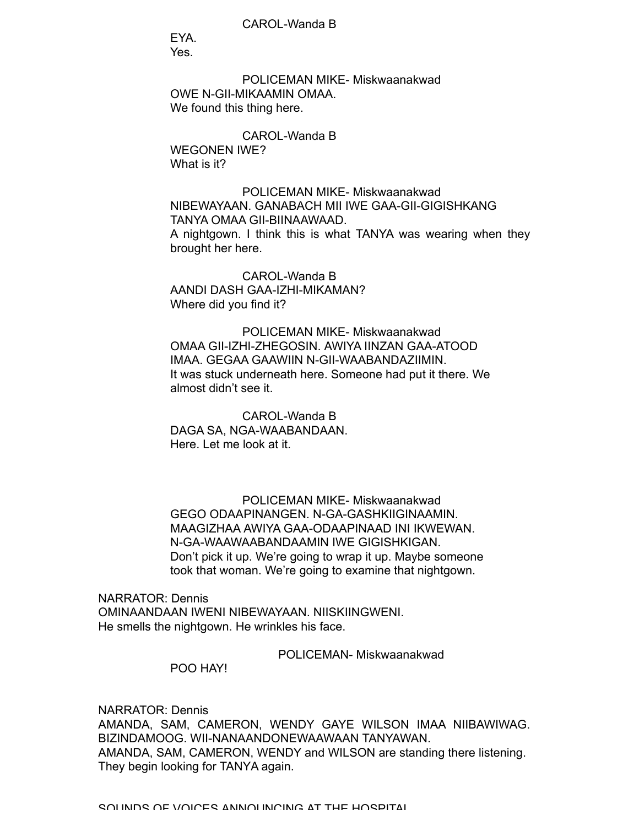CAROL-Wanda B

EYA. Yes.

POLICEMAN MIKE- Miskwaanakwad OWE N-GII-MIKAAMIN OMAA. We found this thing here.

CAROL-Wanda B WEGONEN IWE? What is it?

POLICEMAN MIKE- Miskwaanakwad NIBEWAYAAN. GANABACH MII IWE GAA-GII-GIGISHKANG TANYA OMAA GII-BIINAAWAAD. A nightgown. I think this is what TANYA was wearing when they brought her here.

CAROL-Wanda B AANDI DASH GAA-IZHI-MIKAMAN? Where did you find it?

POLICEMAN MIKE- Miskwaanakwad OMAA GII-IZHI-ZHEGOSIN. AWIYA IINZAN GAA-ATOOD IMAA. GEGAA GAAWIIN N-GII-WAABANDAZIIMIN. It was stuck underneath here. Someone had put it there. We almost didn't see it.

CAROL-Wanda B DAGA SA, NGA-WAABANDAAN. Here. Let me look at it.

POLICEMAN MIKE- Miskwaanakwad GEGO ODAAPINANGEN. N-GA-GASHKIIGINAAMIN. MAAGIZHAA AWIYA GAA-ODAAPINAAD INI IKWEWAN. N-GA-WAAWAABANDAAMIN IWE GIGISHKIGAN. Don't pick it up. We're going to wrap it up. Maybe someone took that woman. We're going to examine that nightgown.

NARRATOR: Dennis OMINAANDAAN IWENI NIBEWAYAAN. NIISKIINGWENI. He smells the nightgown. He wrinkles his face.

POLICEMAN- Miskwaanakwad

POO HAY!

NARRATOR: Dennis AMANDA, SAM, CAMERON, WENDY GAYE WILSON IMAA NIIBAWIWAG. BIZINDAMOOG. WII-NANAANDONEWAAWAAN TANYAWAN. AMANDA, SAM, CAMERON, WENDY and WILSON are standing there listening. They begin looking for TANYA again.

SOUNDS OF VOICES ANNOUNCING AT THE HOSPITAL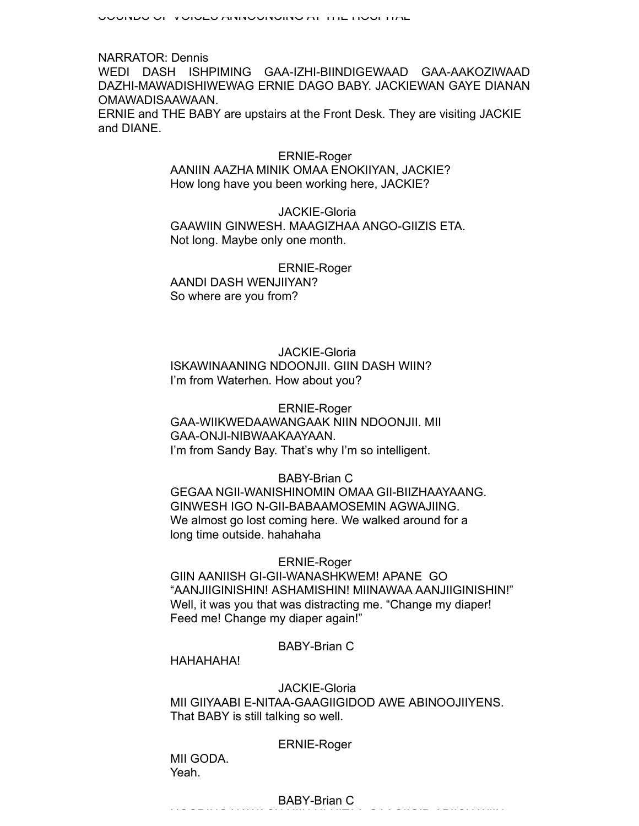NARRATOR: Dennis WEDI DASH ISHPIMING GAA-IZHI-BIINDIGEWAAD GAA-AAKOZIWAAD DAZHI-MAWADISHIWEWAG ERNIE DAGO BABY. JACKIEWAN GAYE DIANAN OMAWADISAAWAAN. ERNIE and THE BABY are upstairs at the Front Desk. They are visiting JACKIE and DIANE.

# ERNIE-Roger

AANIIN AAZHA MINIK OMAA ENOKIIYAN, JACKIE? How long have you been working here, JACKIE?

JACKIE-Gloria GAAWIIN GINWESH. MAAGIZHAA ANGO-GIIZIS ETA. Not long. Maybe only one month.

ERNIE-Roger AANDI DASH WENJIIYAN? So where are you from?

## JACKIE-Gloria

ISKAWINAANING NDOONJII. GIIN DASH WIIN? I'm from Waterhen. How about you?

ERNIE-Roger GAA-WIIKWEDAAWANGAAK NIIN NDOONJII. MII GAA-ONJI-NIBWAAKAAYAAN. I'm from Sandy Bay. That's why I'm so intelligent.

## BABY-Brian C

GEGAA NGII-WANISHINOMIN OMAA GII-BIIZHAAYAANG. GINWESH IGO N-GII-BABAAMOSEMIN AGWAJIING. We almost go lost coming here. We walked around for a long time outside. hahahaha

#### ERNIE-Roger

GIIN AANIISH GI-GII-WANASHKWEM! APANE GO "AANJIIGINISHIN! ASHAMISHIN! MIINAWAA AANJIIGINISHIN!" Well, it was you that was distracting me. "Change my diaper! Feed me! Change my diaper again!"

## BABY-Brian C

HAHAHAHA!

## JACKIE-Gloria MII GIIYAABI E-NITAA-GAAGIIGIDOD AWE ABINOOJIIYENS. That BABY is still talking so well.

NGODING NAWACH NIIN NI-NITAA-GAAGIIGID APIICH WIIN.

## ERNIE-Roger

MII GODA. Yeah.

## BABY-Brian C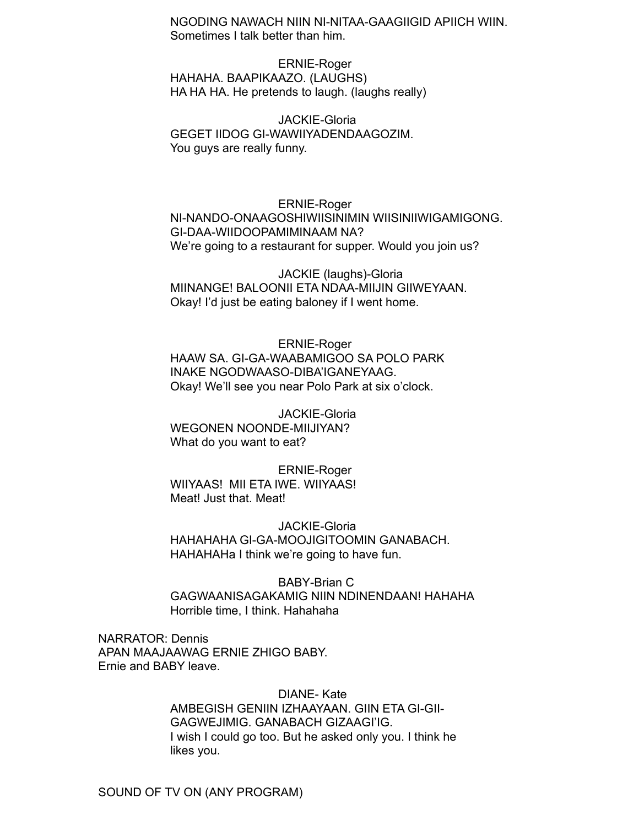NGODING NAWACH NIIN NI-NITAA-GAAGIIGID APIICH WIIN. Sometimes I talk better than him.

ERNIE-Roger HAHAHA. BAAPIKAAZO. (LAUGHS) HA HA HA. He pretends to laugh. (laughs really)

JACKIE-Gloria GEGET IIDOG GI-WAWIIYADENDAAGOZIM. You guys are really funny.

ERNIE-Roger NI-NANDO-ONAAGOSHIWIISINIMIN WIISINIIWIGAMIGONG. GI-DAA-WIIDOOPAMIMINAAM NA? We're going to a restaurant for supper. Would you join us?

JACKIE (laughs)-Gloria MIINANGE! BALOONII ETA NDAA-MIIJIN GIIWEYAAN. Okay! I'd just be eating baloney if I went home.

ERNIE-Roger HAAW SA. GI-GA-WAABAMIGOO SA POLO PARK INAKE NGODWAASO-DIBA'IGANEYAAG. Okay! We'll see you near Polo Park at six o'clock.

JACKIE-Gloria WEGONEN NOONDE-MIIJIYAN? What do you want to eat?

ERNIE-Roger WIIYAAS! MII ETA IWE. WIIYAAS! Meat! Just that. Meat!

JACKIE-Gloria HAHAHAHA GI-GA-MOOJIGITOOMIN GANABACH. HAHAHAHa I think we're going to have fun.

BABY-Brian C GAGWAANISAGAKAMIG NIIN NDINENDAAN! HAHAHA Horrible time, I think. Hahahaha

NARRATOR: Dennis APAN MAAJAAWAG ERNIE ZHIGO BABY. Ernie and BABY leave.

> DIANE- Kate AMBEGISH GENIIN IZHAAYAAN. GIIN ETA GI-GII-GAGWEJIMIG. GANABACH GIZAAGI'IG. I wish I could go too. But he asked only you. I think he likes you.

SOUND OF TV ON (ANY PROGRAM)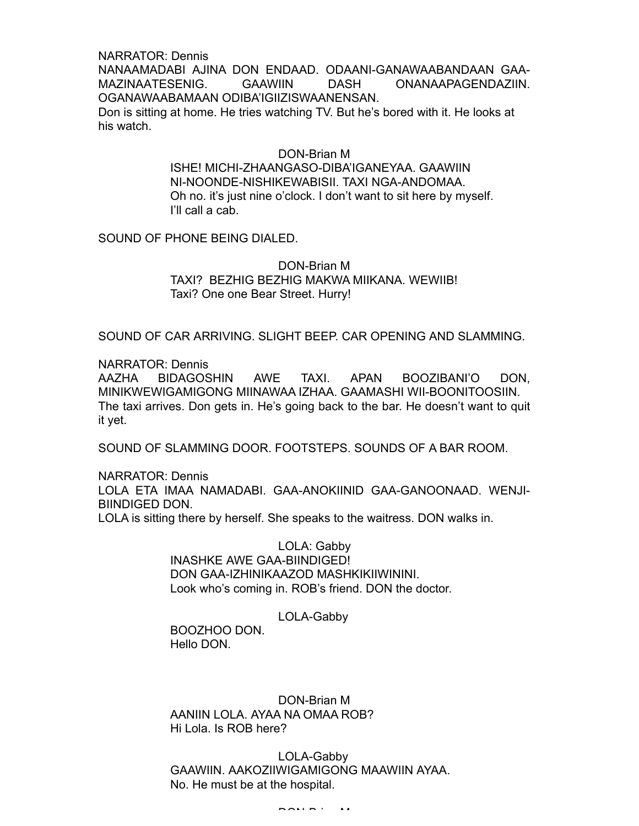NARRATOR: Dennis NANAAMADABI AJINA DON ENDAAD. ODAANI-GANAWAABANDAAN GAA-MAZINAATESENIG. GAAWIIN DASH ONANAAPAGENDAZIIN. OGANAWAABAMAAN ODIBA'IGIIZISWAANENSAN. Don is sitting at home. He tries watching TV. But he's bored with it. He looks at his watch.

#### DON-Brian M

ISHE! MICHI-ZHAANGASO-DIBA'IGANEYAA. GAAWIIN NI-NOONDE-NISHIKEWABISII. TAXI NGA-ANDOMAA. Oh no. it's just nine o'clock. I don't want to sit here by myself. I'll call a cab.

SOUND OF PHONE BEING DIALED.

## DON-Brian M TAXI? BEZHIG BEZHIG MAKWA MIIKANA. WEWIIB! Taxi? One one Bear Street. Hurry!

SOUND OF CAR ARRIVING. SLIGHT BEEP. CAR OPENING AND SLAMMING.

#### NARRATOR: Dennis

AAZHA BIDAGOSHIN AWE TAXI. APAN BOOZIBANI'O DON, MINIKWEWIGAMIGONG MIINAWAA IZHAA. GAAMASHI WII-BOONITOOSIIN. The taxi arrives. Don gets in. He's going back to the bar. He doesn't want to quit it yet.

SOUND OF SLAMMING DOOR. FOOTSTEPS. SOUNDS OF A BAR ROOM.

NARRATOR: Dennis LOLA ETA IMAA NAMADABI. GAA-ANOKIINID GAA-GANOONAAD. WENJI-BIINDIGED DON. LOLA is sitting there by herself. She speaks to the waitress. DON walks in.

> LOLA: Gabby INASHKE AWE GAA-BIINDIGED! DON GAA-IZHINIKAAZOD MASHKIKIIWININI. Look who's coming in. ROB's friend. DON the doctor.

> > LOLA-Gabby

BOOZHOO DON. Hello DON.

DON-Brian M AANIIN LOLA. AYAA NA OMAA ROB? Hi Lola. Is ROB here?

LOLA-Gabby GAAWIIN. AAKOZIIWIGAMIGONG MAAWIIN AYAA. No. He must be at the hospital.

DON-Brian M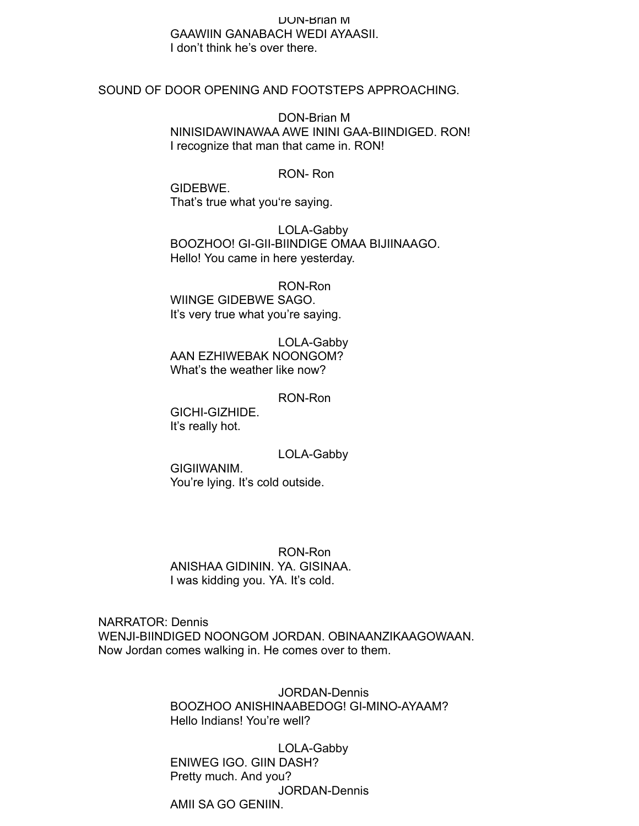## DON-Brian M GAAWIIN GANABACH WEDI AYAASII. I don't think he's over there.

#### SOUND OF DOOR OPENING AND FOOTSTEPS APPROACHING.

DON-Brian M NINISIDAWINAWAA AWE ININI GAA-BIINDIGED. RON! I recognize that man that came in. RON!

#### RON- Ron

GIDEBWE. That's true what you're saying.

LOLA-Gabby BOOZHOO! GI-GII-BIINDIGE OMAA BIJIINAAGO. Hello! You came in here yesterday.

RON-Ron WIINGE GIDEBWE SAGO. It's very true what you're saying.

LOLA-Gabby AAN EZHIWEBAK NOONGOM? What's the weather like now?

RON-Ron

GICHI-GIZHIDE. It's really hot.

LOLA-Gabby

GIGIIWANIM. You're lying. It's cold outside.

RON-Ron ANISHAA GIDININ. YA. GISINAA. I was kidding you. YA. It's cold.

NARRATOR: Dennis WENJI-BIINDIGED NOONGOM JORDAN. OBINAANZIKAAGOWAAN. Now Jordan comes walking in. He comes over to them.

> JORDAN-Dennis BOOZHOO ANISHINAABEDOG! GI-MINO-AYAAM? Hello Indians! You're well?

LOLA-Gabby ENIWEG IGO. GIIN DASH? Pretty much. And you? JORDAN-Dennis AMII SA GO GENIIN.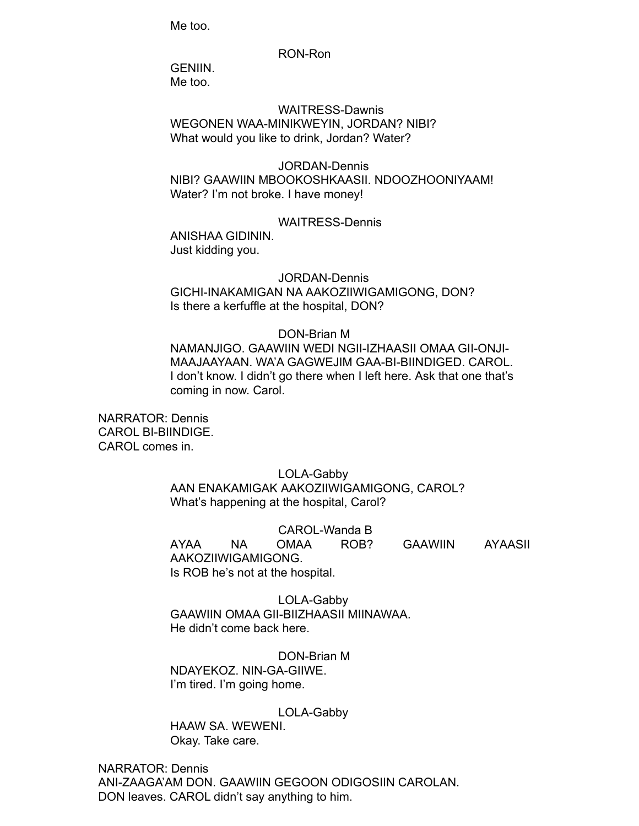Me too.

AMII SA GO GENIIN.

#### RON-Ron

GENIIN.

Me too.

WAITRESS-Dawnis WEGONEN WAA-MINIKWEYIN, JORDAN? NIBI? What would you like to drink, Jordan? Water?

## JORDAN-Dennis NIBI? GAAWIIN MBOOKOSHKAASII. NDOOZHOONIYAAM! Water? I'm not broke. I have money!

#### WAITRESS-Dennis

ANISHAA GIDININ. Just kidding you.

#### JORDAN-Dennis

GICHI-INAKAMIGAN NA AAKOZIIWIGAMIGONG, DON? Is there a kerfuffle at the hospital, DON?

### DON-Brian M

NAMANJIGO. GAAWIIN WEDI NGII-IZHAASII OMAA GII-ONJI-MAAJAAYAAN. WA'A GAGWEJIM GAA-BI-BIINDIGED. CAROL. I don't know. I didn't go there when I left here. Ask that one that's coming in now. Carol.

NARRATOR: Dennis CAROL BI-BIINDIGE. CAROL comes in.

## LOLA-Gabby

AAN ENAKAMIGAK AAKOZIIWIGAMIGONG, CAROL? What's happening at the hospital, Carol?

CAROL-Wanda B

AYAA NA OMAA ROB? GAAWIIN AYAASII AAKOZIIWIGAMIGONG. Is ROB he's not at the hospital.

LOLA-Gabby GAAWIIN OMAA GII-BIIZHAASII MIINAWAA. He didn't come back here.

DON-Brian M NDAYEKOZ. NIN-GA-GIIWE. I'm tired. I'm going home.

LOLA-Gabby

HAAW SA. WEWENI. Okay. Take care.

NARRATOR: Dennis ANI-ZAAGA'AM DON. GAAWIIN GEGOON ODIGOSIIN CAROLAN. DON leaves. CAROL didn't say anything to him.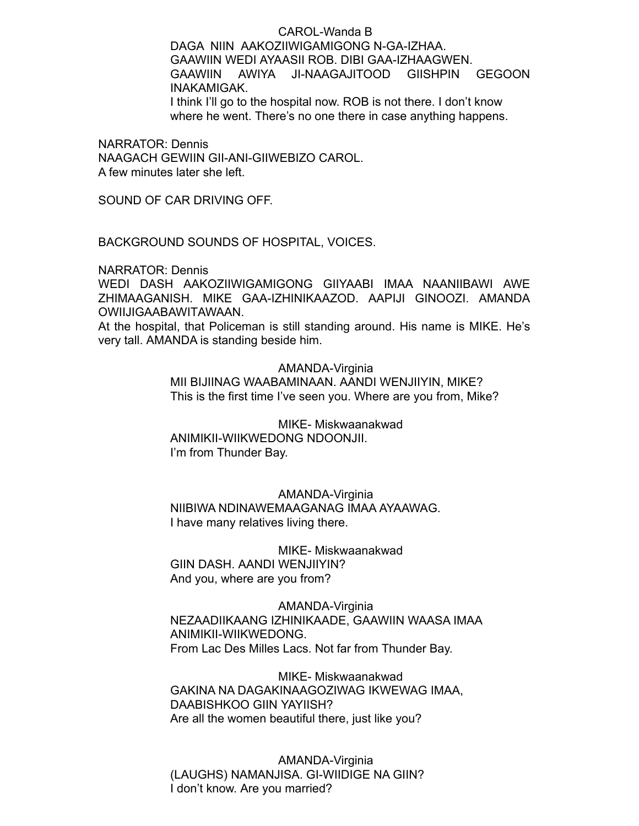CAROL-Wanda B DAGA NIIN AAKOZIIWIGAMIGONG N-GA-IZHAA. GAAWIIN WEDI AYAASII ROB. DIBI GAA-IZHAAGWEN. GAAWIIN AWIYA JI-NAAGAJITOOD GIISHPIN GEGOON INAKAMIGAK. I think I'll go to the hospital now. ROB is not there. I don't know where he went. There's no one there in case anything happens.

NARRATOR: Dennis NAAGACH GEWIIN GII-ANI-GIIWEBIZO CAROL. A few minutes later she left.

SOUND OF CAR DRIVING OFF.

BACKGROUND SOUNDS OF HOSPITAL, VOICES.

NARRATOR: Dennis

WEDI DASH AAKOZIIWIGAMIGONG GIIYAABI IMAA NAANIIBAWI AWE ZHIMAAGANISH. MIKE GAA-IZHINIKAAZOD. AAPIJI GINOOZI. AMANDA OWIIJIGAABAWITAWAAN.

At the hospital, that Policeman is still standing around. His name is MIKE. He's very tall. AMANDA is standing beside him.

> AMANDA-Virginia MII BIJIINAG WAABAMINAAN. AANDI WENJIIYIN, MIKE? This is the first time I've seen you. Where are you from, Mike?

MIKE- Miskwaanakwad ANIMIKII-WIIKWEDONG NDOONJII. I'm from Thunder Bay.

AMANDA-Virginia NIIBIWA NDINAWEMAAGANAG IMAA AYAAWAG. I have many relatives living there.

MIKE- Miskwaanakwad GIIN DASH. AANDI WENJIIYIN? And you, where are you from?

AMANDA-Virginia NEZAADIIKAANG IZHINIKAADE, GAAWIIN WAASA IMAA ANIMIKII-WIIKWEDONG. From Lac Des Milles Lacs. Not far from Thunder Bay.

MIKE- Miskwaanakwad GAKINA NA DAGAKINAAGOZIWAG IKWEWAG IMAA, DAABISHKOO GIIN YAYIISH? Are all the women beautiful there, just like you?

AMANDA-Virginia (LAUGHS) NAMANJISA. GI-WIIDIGE NA GIIN? I don't know. Are you married?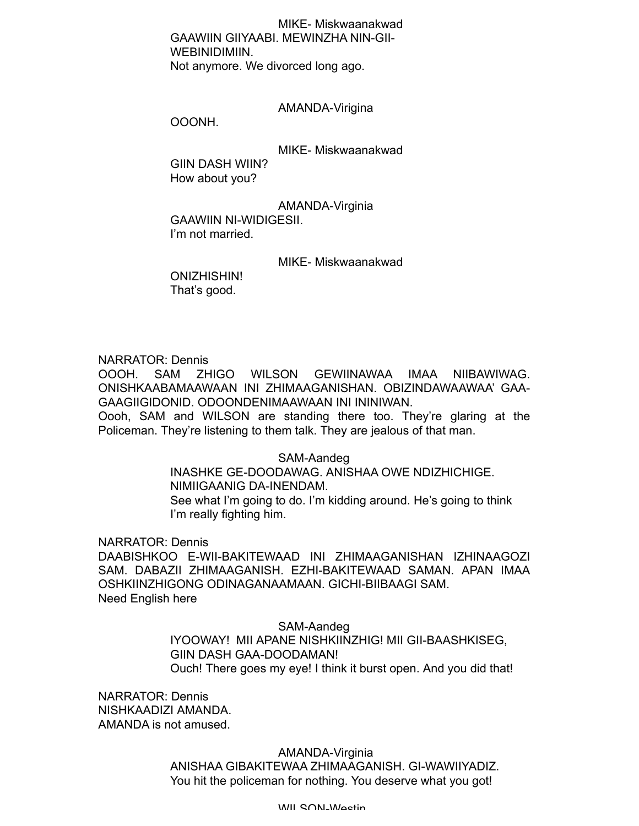MIKE- Miskwaanakwad GAAWIIN GIIYAABI. MEWINZHA NIN-GII-WEBINIDIMIIN. Not anymore. We divorced long ago.

AMANDA-Virigina

OOONH.

MIKE- Miskwaanakwad

GIIN DASH WIIN? How about you?

AMANDA-Virginia GAAWIIN NI-WIDIGESII. I'm not married.

MIKE- Miskwaanakwad

ONIZHISHIN! That's good.

NARRATOR: Dennis

OOOH. SAM ZHIGO WILSON GEWIINAWAA IMAA NIIBAWIWAG. ONISHKAABAMAAWAAN INI ZHIMAAGANISHAN. OBIZINDAWAAWAA' GAA-GAAGIIGIDONID. ODOONDENIMAAWAAN INI ININIWAN.

Oooh, SAM and WILSON are standing there too. They're glaring at the Policeman. They're listening to them talk. They are jealous of that man.

SAM-Aandeg

INASHKE GE-DOODAWAG. ANISHAA OWE NDIZHICHIGE. NIMIIGAANIG DA-INENDAM.

See what I'm going to do. I'm kidding around. He's going to think I'm really fighting him.

NARRATOR: Dennis

DAABISHKOO E-WII-BAKITEWAAD INI ZHIMAAGANISHAN IZHINAAGOZI SAM. DABAZII ZHIMAAGANISH. EZHI-BAKITEWAAD SAMAN. APAN IMAA OSHKIINZHIGONG ODINAGANAAMAAN. GICHI-BIIBAAGI SAM. Need English here

> SAM-Aandeg IYOOWAY! MII APANE NISHKIINZHIG! MII GII-BAASHKISEG, GIIN DASH GAA-DOODAMAN! Ouch! There goes my eye! I think it burst open. And you did that!

NARRATOR: Dennis NISHKAADIZI AMANDA. AMANDA is not amused.

> AMANDA-Virginia ANISHAA GIBAKITEWAA ZHIMAAGANISH. GI-WAWIIYADIZ. You hit the policeman for nothing. You deserve what you got!

> > WILSON-Westin